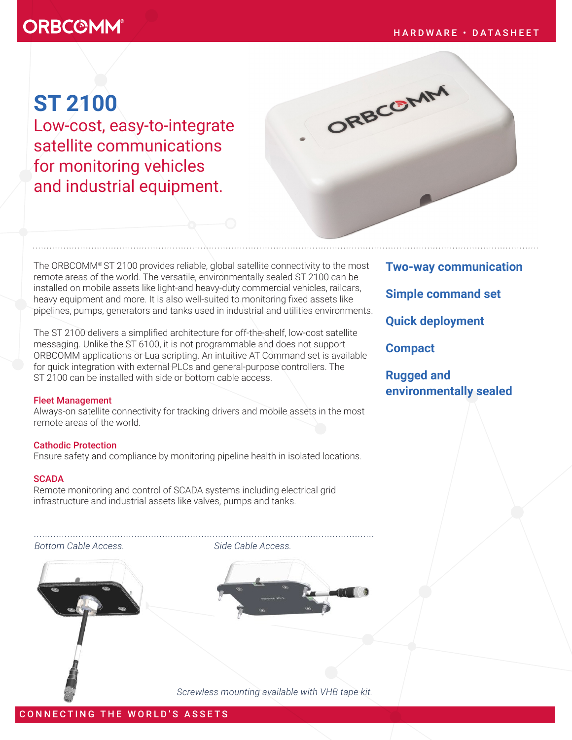# **ORBCOMM®**

ORBCOMM

# **ST 2100**

Low-cost, easy-to-integrate satellite communications for monitoring vehicles and industrial equipment.

The ORBCOMM® ST 2100 provides reliable, global satellite connectivity to the most remote areas of the world. The versatile, environmentally sealed ST 2100 can be installed on mobile assets like light-and heavy-duty commercial vehicles, railcars, heavy equipment and more. It is also well-suited to monitoring fixed assets like pipelines, pumps, generators and tanks used in industrial and utilities environments.

The ST 2100 delivers a simplified architecture for off-the-shelf, low-cost satellite messaging. Unlike the ST 6100, it is not programmable and does not support ORBCOMM applications or Lua scripting. An intuitive AT Command set is available for quick integration with external PLCs and general-purpose controllers. The ST 2100 can be installed with side or bottom cable access.

# Fleet Management

Always-on satellite connectivity for tracking drivers and mobile assets in the most remote areas of the world.

# Cathodic Protection

Ensure safety and compliance by monitoring pipeline health in isolated locations.

# **SCADA**

Remote monitoring and control of SCADA systems including electrical grid infrastructure and industrial assets like valves, pumps and tanks.

#### *Bottom Cable Access. Side Cable Access.*



*Screwless mounting available with VHB tape kit.*

**Two-way communication Simple command set Quick deployment Compact Rugged and** 

**environmentally sealed**